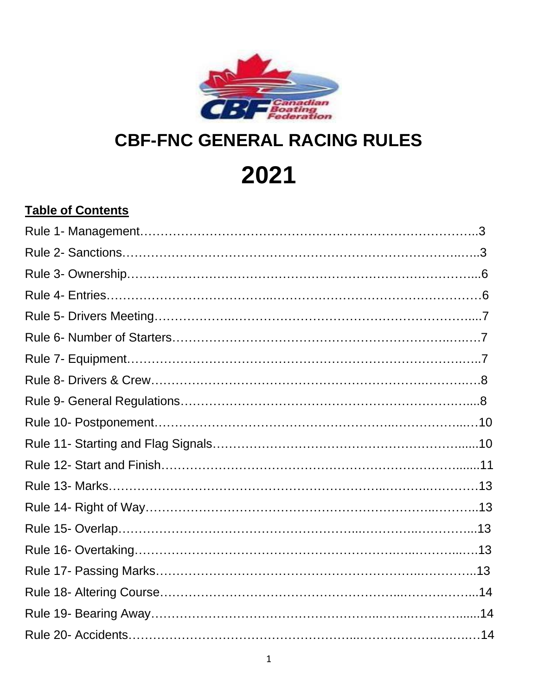

# **CBF-FNC GENERAL RACING RULES**

**2021**

# **Table of Contents**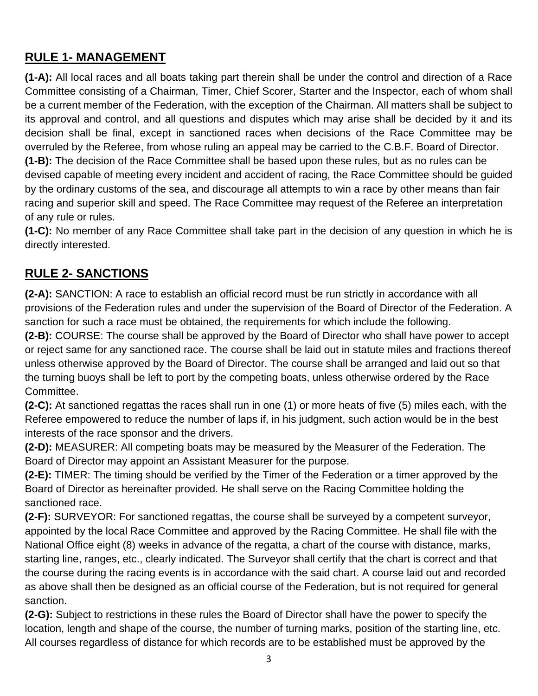## **RULE 1- MANAGEMENT**

**(1-A):** All local races and all boats taking part therein shall be under the control and direction of a Race Committee consisting of a Chairman, Timer, Chief Scorer, Starter and the Inspector, each of whom shall be a current member of the Federation, with the exception of the Chairman. All matters shall be subject to its approval and control, and all questions and disputes which may arise shall be decided by it and its decision shall be final, except in sanctioned races when decisions of the Race Committee may be overruled by the Referee, from whose ruling an appeal may be carried to the C.B.F. Board of Director. **(1-B):** The decision of the Race Committee shall be based upon these rules, but as no rules can be devised capable of meeting every incident and accident of racing, the Race Committee should be guided by the ordinary customs of the sea, and discourage all attempts to win a race by other means than fair racing and superior skill and speed. The Race Committee may request of the Referee an interpretation of any rule or rules.

**(1-C):** No member of any Race Committee shall take part in the decision of any question in which he is directly interested.

#### **RULE 2- SANCTIONS**

**(2-A):** SANCTION: A race to establish an official record must be run strictly in accordance with all provisions of the Federation rules and under the supervision of the Board of Director of the Federation. A sanction for such a race must be obtained, the requirements for which include the following.

**(2-B):** COURSE: The course shall be approved by the Board of Director who shall have power to accept or reject same for any sanctioned race. The course shall be laid out in statute miles and fractions thereof unless otherwise approved by the Board of Director. The course shall be arranged and laid out so that the turning buoys shall be left to port by the competing boats, unless otherwise ordered by the Race Committee.

**(2-C):** At sanctioned regattas the races shall run in one (1) or more heats of five (5) miles each, with the Referee empowered to reduce the number of laps if, in his judgment, such action would be in the best interests of the race sponsor and the drivers.

**(2-D):** MEASURER: All competing boats may be measured by the Measurer of the Federation. The Board of Director may appoint an Assistant Measurer for the purpose.

**(2-E):** TIMER: The timing should be verified by the Timer of the Federation or a timer approved by the Board of Director as hereinafter provided. He shall serve on the Racing Committee holding the sanctioned race.

**(2-F):** SURVEYOR: For sanctioned regattas, the course shall be surveyed by a competent surveyor, appointed by the local Race Committee and approved by the Racing Committee. He shall file with the National Office eight (8) weeks in advance of the regatta, a chart of the course with distance, marks, starting line, ranges, etc., clearly indicated. The Surveyor shall certify that the chart is correct and that the course during the racing events is in accordance with the said chart. A course laid out and recorded as above shall then be designed as an official course of the Federation, but is not required for general sanction.

**(2-G):** Subject to restrictions in these rules the Board of Director shall have the power to specify the location, length and shape of the course, the number of turning marks, position of the starting line, etc. All courses regardless of distance for which records are to be established must be approved by the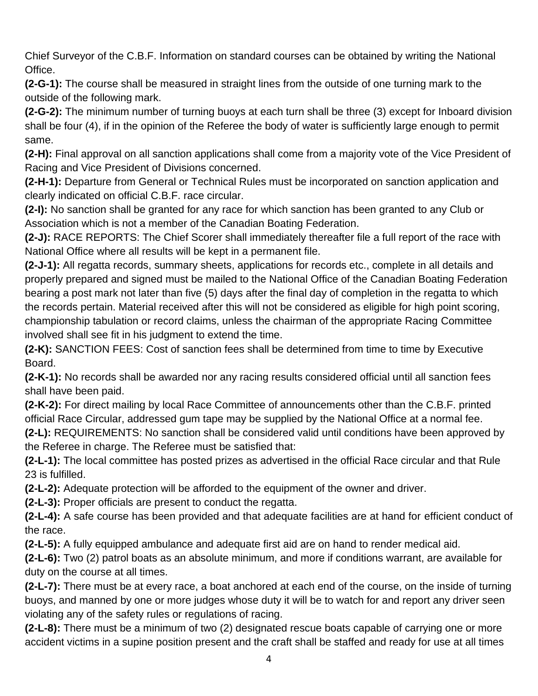Chief Surveyor of the C.B.F. Information on standard courses can be obtained by writing the National Office.

**(2-G-1):** The course shall be measured in straight lines from the outside of one turning mark to the outside of the following mark.

**(2-G-2):** The minimum number of turning buoys at each turn shall be three (3) except for Inboard division shall be four (4), if in the opinion of the Referee the body of water is sufficiently large enough to permit same.

**(2-H):** Final approval on all sanction applications shall come from a majority vote of the Vice President of Racing and Vice President of Divisions concerned.

**(2-H-1):** Departure from General or Technical Rules must be incorporated on sanction application and clearly indicated on official C.B.F. race circular.

**(2-I):** No sanction shall be granted for any race for which sanction has been granted to any Club or Association which is not a member of the Canadian Boating Federation.

**(2-J):** RACE REPORTS: The Chief Scorer shall immediately thereafter file a full report of the race with National Office where all results will be kept in a permanent file.

**(2-J-1):** All regatta records, summary sheets, applications for records etc., complete in all details and properly prepared and signed must be mailed to the National Office of the Canadian Boating Federation bearing a post mark not later than five (5) days after the final day of completion in the regatta to which the records pertain. Material received after this will not be considered as eligible for high point scoring, championship tabulation or record claims, unless the chairman of the appropriate Racing Committee involved shall see fit in his judgment to extend the time.

**(2-K):** SANCTION FEES: Cost of sanction fees shall be determined from time to time by Executive Board.

**(2-K-1):** No records shall be awarded nor any racing results considered official until all sanction fees shall have been paid.

**(2-K-2):** For direct mailing by local Race Committee of announcements other than the C.B.F. printed official Race Circular, addressed gum tape may be supplied by the National Office at a normal fee. **(2-L):** REQUIREMENTS: No sanction shall be considered valid until conditions have been approved by

the Referee in charge. The Referee must be satisfied that:

**(2-L-1):** The local committee has posted prizes as advertised in the official Race circular and that Rule 23 is fulfilled.

**(2-L-2):** Adequate protection will be afforded to the equipment of the owner and driver.

**(2-L-3):** Proper officials are present to conduct the regatta.

**(2-L-4):** A safe course has been provided and that adequate facilities are at hand for efficient conduct of the race.

**(2-L-5):** A fully equipped ambulance and adequate first aid are on hand to render medical aid.

**(2-L-6):** Two (2) patrol boats as an absolute minimum, and more if conditions warrant, are available for duty on the course at all times.

**(2-L-7):** There must be at every race, a boat anchored at each end of the course, on the inside of turning buoys, and manned by one or more judges whose duty it will be to watch for and report any driver seen violating any of the safety rules or regulations of racing.

**(2-L-8):** There must be a minimum of two (2) designated rescue boats capable of carrying one or more accident victims in a supine position present and the craft shall be staffed and ready for use at all times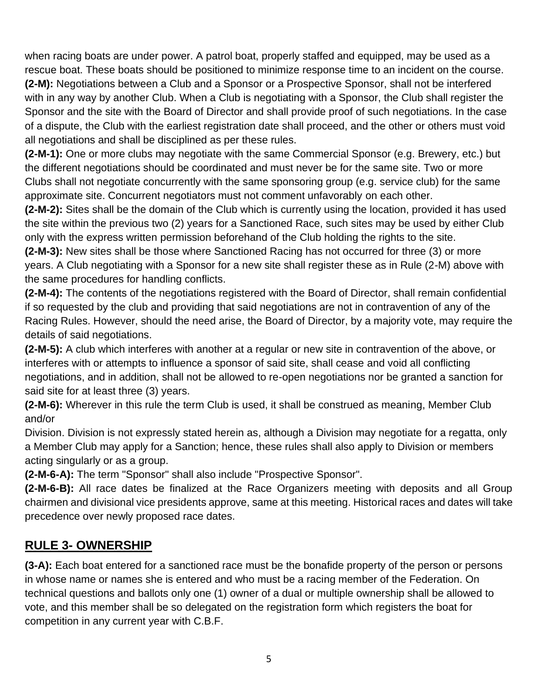when racing boats are under power. A patrol boat, properly staffed and equipped, may be used as a rescue boat. These boats should be positioned to minimize response time to an incident on the course. **(2-M):** Negotiations between a Club and a Sponsor or a Prospective Sponsor, shall not be interfered with in any way by another Club. When a Club is negotiating with a Sponsor, the Club shall register the Sponsor and the site with the Board of Director and shall provide proof of such negotiations. In the case of a dispute, the Club with the earliest registration date shall proceed, and the other or others must void all negotiations and shall be disciplined as per these rules.

**(2-M-1):** One or more clubs may negotiate with the same Commercial Sponsor (e.g. Brewery, etc.) but the different negotiations should be coordinated and must never be for the same site. Two or more Clubs shall not negotiate concurrently with the same sponsoring group (e.g. service club) for the same approximate site. Concurrent negotiators must not comment unfavorably on each other.

**(2-M-2):** Sites shall be the domain of the Club which is currently using the location, provided it has used the site within the previous two (2) years for a Sanctioned Race, such sites may be used by either Club only with the express written permission beforehand of the Club holding the rights to the site.

**(2-M-3):** New sites shall be those where Sanctioned Racing has not occurred for three (3) or more years. A Club negotiating with a Sponsor for a new site shall register these as in Rule (2-M) above with the same procedures for handling conflicts.

**(2-M-4):** The contents of the negotiations registered with the Board of Director, shall remain confidential if so requested by the club and providing that said negotiations are not in contravention of any of the Racing Rules. However, should the need arise, the Board of Director, by a majority vote, may require the details of said negotiations.

**(2-M-5):** A club which interferes with another at a regular or new site in contravention of the above, or interferes with or attempts to influence a sponsor of said site, shall cease and void all conflicting negotiations, and in addition, shall not be allowed to re-open negotiations nor be granted a sanction for said site for at least three (3) years.

**(2-M-6):** Wherever in this rule the term Club is used, it shall be construed as meaning, Member Club and/or

Division. Division is not expressly stated herein as, although a Division may negotiate for a regatta, only a Member Club may apply for a Sanction; hence, these rules shall also apply to Division or members acting singularly or as a group.

**(2-M-6-A):** The term "Sponsor" shall also include "Prospective Sponsor".

**(2-M-6-B):** All race dates be finalized at the Race Organizers meeting with deposits and all Group chairmen and divisional vice presidents approve, same at this meeting. Historical races and dates will take precedence over newly proposed race dates.

## **RULE 3- OWNERSHIP**

**(3-A):** Each boat entered for a sanctioned race must be the bonafide property of the person or persons in whose name or names she is entered and who must be a racing member of the Federation. On technical questions and ballots only one (1) owner of a dual or multiple ownership shall be allowed to vote, and this member shall be so delegated on the registration form which registers the boat for competition in any current year with C.B.F.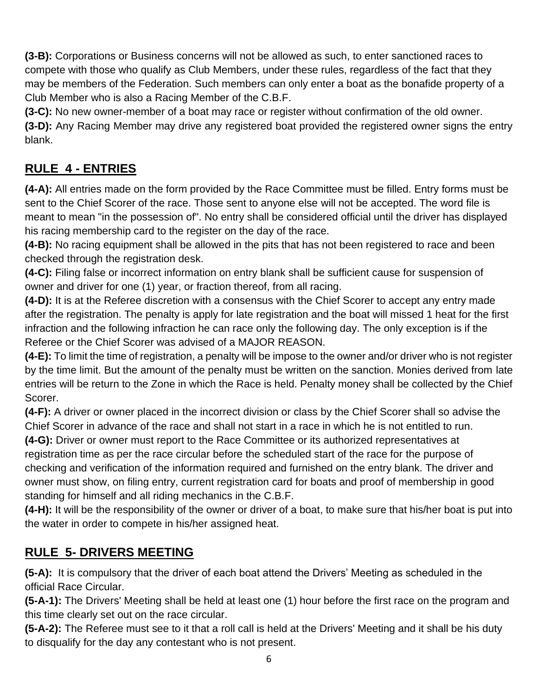**(3-B):** Corporations or Business concerns will not be allowed as such, to enter sanctioned races to compete with those who qualify as Club Members, under these rules, regardless of the fact that they may be members of the Federation. Such members can only enter a boat as the bonafide property of a Club Member who is also a Racing Member of the C.B.F.

**(3-C):** No new owner-member of a boat may race or register without confirmation of the old owner.

**(3-D):** Any Racing Member may drive any registered boat provided the registered owner signs the entry blank.

## **RULE 4 - ENTRIES**

**(4-A):** All entries made on the form provided by the Race Committee must be filled. Entry forms must be sent to the Chief Scorer of the race. Those sent to anyone else will not be accepted. The word file is meant to mean "in the possession of". No entry shall be considered official until the driver has displayed his racing membership card to the register on the day of the race.

**(4-B):** No racing equipment shall be allowed in the pits that has not been registered to race and been checked through the registration desk.

**(4-C):** Filing false or incorrect information on entry blank shall be sufficient cause for suspension of owner and driver for one (1) year, or fraction thereof, from all racing.

**(4-D):** It is at the Referee discretion with a consensus with the Chief Scorer to accept any entry made after the registration. The penalty is apply for late registration and the boat will missed 1 heat for the first infraction and the following infraction he can race only the following day. The only exception is if the Referee or the Chief Scorer was advised of a MAJOR REASON.

**(4-E):** To limit the time of registration, a penalty will be impose to the owner and/or driver who is not register by the time limit. But the amount of the penalty must be written on the sanction. Monies derived from late entries will be return to the Zone in which the Race is held. Penalty money shall be collected by the Chief Scorer.

**(4-F):** A driver or owner placed in the incorrect division or class by the Chief Scorer shall so advise the Chief Scorer in advance of the race and shall not start in a race in which he is not entitled to run.

**(4-G):** Driver or owner must report to the Race Committee or its authorized representatives at registration time as per the race circular before the scheduled start of the race for the purpose of checking and verification of the information required and furnished on the entry blank. The driver and owner must show, on filing entry, current registration card for boats and proof of membership in good standing for himself and all riding mechanics in the C.B.F.

**(4-H):** It will be the responsibility of the owner or driver of a boat, to make sure that his/her boat is put into the water in order to compete in his/her assigned heat.

## **RULE 5- DRIVERS MEETING**

**(5-A):** It is compulsory that the driver of each boat attend the Drivers' Meeting as scheduled in the official Race Circular.

**(5-A-1):** The Drivers' Meeting shall be held at least one (1) hour before the first race on the program and this time clearly set out on the race circular.

**(5-A-2):** The Referee must see to it that a roll call is held at the Drivers' Meeting and it shall be his duty to disqualify for the day any contestant who is not present.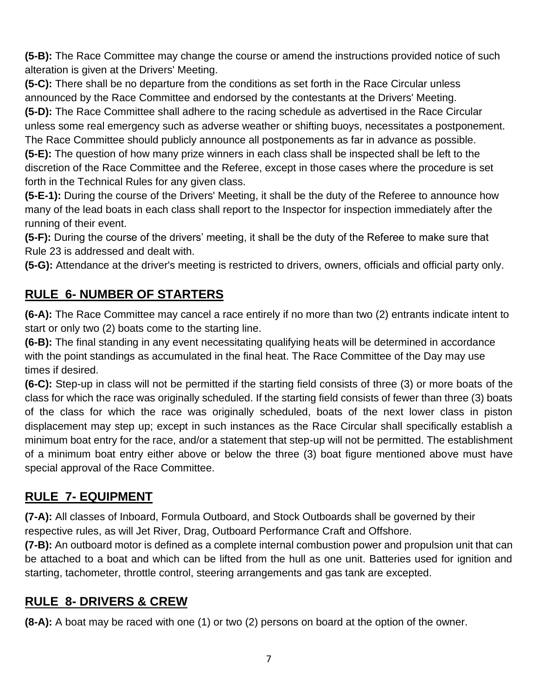**(5-B):** The Race Committee may change the course or amend the instructions provided notice of such alteration is given at the Drivers' Meeting.

**(5-C):** There shall be no departure from the conditions as set forth in the Race Circular unless announced by the Race Committee and endorsed by the contestants at the Drivers' Meeting. **(5-D):** The Race Committee shall adhere to the racing schedule as advertised in the Race Circular

unless some real emergency such as adverse weather or shifting buoys, necessitates a postponement. The Race Committee should publicly announce all postponements as far in advance as possible.

**(5-E):** The question of how many prize winners in each class shall be inspected shall be left to the discretion of the Race Committee and the Referee, except in those cases where the procedure is set forth in the Technical Rules for any given class.

**(5-E-1):** During the course of the Drivers' Meeting, it shall be the duty of the Referee to announce how many of the lead boats in each class shall report to the Inspector for inspection immediately after the running of their event.

**(5-F):** During the course of the drivers' meeting, it shall be the duty of the Referee to make sure that Rule 23 is addressed and dealt with.

**(5-G):** Attendance at the driver's meeting is restricted to drivers, owners, officials and official party only.

# **RULE 6- NUMBER OF STARTERS**

**(6-A):** The Race Committee may cancel a race entirely if no more than two (2) entrants indicate intent to start or only two (2) boats come to the starting line.

**(6-B):** The final standing in any event necessitating qualifying heats will be determined in accordance with the point standings as accumulated in the final heat. The Race Committee of the Day may use times if desired.

**(6-C):** Step-up in class will not be permitted if the starting field consists of three (3) or more boats of the class for which the race was originally scheduled. If the starting field consists of fewer than three (3) boats of the class for which the race was originally scheduled, boats of the next lower class in piston displacement may step up; except in such instances as the Race Circular shall specifically establish a minimum boat entry for the race, and/or a statement that step-up will not be permitted. The establishment of a minimum boat entry either above or below the three (3) boat figure mentioned above must have special approval of the Race Committee.

# **RULE 7- EQUIPMENT**

**(7-A):** All classes of Inboard, Formula Outboard, and Stock Outboards shall be governed by their respective rules, as will Jet River, Drag, Outboard Performance Craft and Offshore.

**(7-B):** An outboard motor is defined as a complete internal combustion power and propulsion unit that can be attached to a boat and which can be lifted from the hull as one unit. Batteries used for ignition and starting, tachometer, throttle control, steering arrangements and gas tank are excepted.

#### **RULE 8- DRIVERS & CREW**

**(8-A):** A boat may be raced with one (1) or two (2) persons on board at the option of the owner.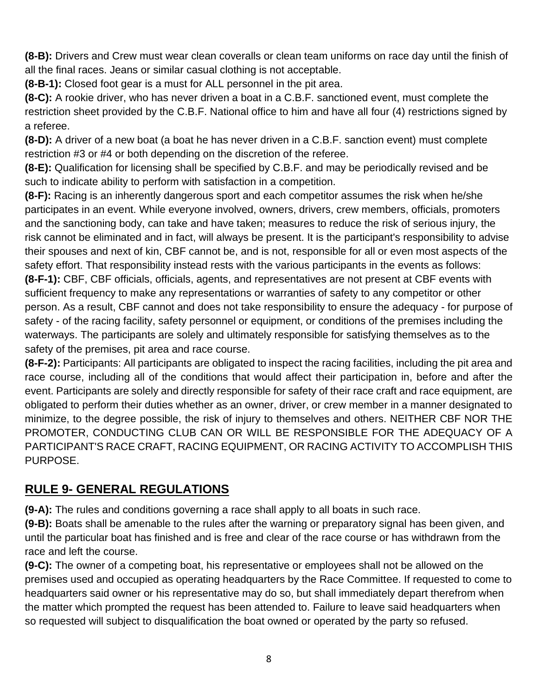**(8-B):** Drivers and Crew must wear clean coveralls or clean team uniforms on race day until the finish of all the final races. Jeans or similar casual clothing is not acceptable.

**(8-B-1):** Closed foot gear is a must for ALL personnel in the pit area.

**(8-C):** A rookie driver, who has never driven a boat in a C.B.F. sanctioned event, must complete the restriction sheet provided by the C.B.F. National office to him and have all four (4) restrictions signed by a referee.

**(8-D):** A driver of a new boat (a boat he has never driven in a C.B.F. sanction event) must complete restriction #3 or #4 or both depending on the discretion of the referee.

**(8-E):** Qualification for licensing shall be specified by C.B.F. and may be periodically revised and be such to indicate ability to perform with satisfaction in a competition.

**(8-F):** Racing is an inherently dangerous sport and each competitor assumes the risk when he/she participates in an event. While everyone involved, owners, drivers, crew members, officials, promoters and the sanctioning body, can take and have taken; measures to reduce the risk of serious injury, the risk cannot be eliminated and in fact, will always be present. It is the participant's responsibility to advise their spouses and next of kin, CBF cannot be, and is not, responsible for all or even most aspects of the safety effort. That responsibility instead rests with the various participants in the events as follows: **(8-F-1):** CBF, CBF officials, officials, agents, and representatives are not present at CBF events with sufficient frequency to make any representations or warranties of safety to any competitor or other person. As a result, CBF cannot and does not take responsibility to ensure the adequacy - for purpose of safety - of the racing facility, safety personnel or equipment, or conditions of the premises including the waterways. The participants are solely and ultimately responsible for satisfying themselves as to the safety of the premises, pit area and race course.

**(8-F-2):** Participants: All participants are obligated to inspect the racing facilities, including the pit area and race course, including all of the conditions that would affect their participation in, before and after the event. Participants are solely and directly responsible for safety of their race craft and race equipment, are obligated to perform their duties whether as an owner, driver, or crew member in a manner designated to minimize, to the degree possible, the risk of injury to themselves and others. NEITHER CBF NOR THE PROMOTER, CONDUCTING CLUB CAN OR WILL BE RESPONSIBLE FOR THE ADEQUACY OF A PARTICIPANT'S RACE CRAFT, RACING EQUIPMENT, OR RACING ACTIVITY TO ACCOMPLISH THIS PURPOSE.

# **RULE 9- GENERAL REGULATIONS**

**(9-A):** The rules and conditions governing a race shall apply to all boats in such race.

**(9-B):** Boats shall be amenable to the rules after the warning or preparatory signal has been given, and until the particular boat has finished and is free and clear of the race course or has withdrawn from the race and left the course.

**(9-C):** The owner of a competing boat, his representative or employees shall not be allowed on the premises used and occupied as operating headquarters by the Race Committee. If requested to come to headquarters said owner or his representative may do so, but shall immediately depart therefrom when the matter which prompted the request has been attended to. Failure to leave said headquarters when so requested will subject to disqualification the boat owned or operated by the party so refused.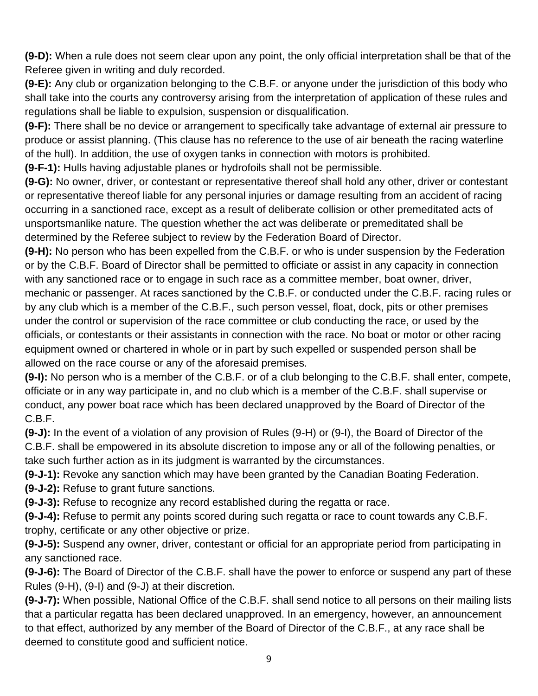**(9-D):** When a rule does not seem clear upon any point, the only official interpretation shall be that of the Referee given in writing and duly recorded.

**(9-E):** Any club or organization belonging to the C.B.F. or anyone under the jurisdiction of this body who shall take into the courts any controversy arising from the interpretation of application of these rules and regulations shall be liable to expulsion, suspension or disqualification.

**(9-F):** There shall be no device or arrangement to specifically take advantage of external air pressure to produce or assist planning. (This clause has no reference to the use of air beneath the racing waterline of the hull). In addition, the use of oxygen tanks in connection with motors is prohibited.

**(9-F-1):** Hulls having adjustable planes or hydrofoils shall not be permissible.

**(9-G):** No owner, driver, or contestant or representative thereof shall hold any other, driver or contestant or representative thereof liable for any personal injuries or damage resulting from an accident of racing occurring in a sanctioned race, except as a result of deliberate collision or other premeditated acts of unsportsmanlike nature. The question whether the act was deliberate or premeditated shall be determined by the Referee subject to review by the Federation Board of Director.

**(9-H):** No person who has been expelled from the C.B.F. or who is under suspension by the Federation or by the C.B.F. Board of Director shall be permitted to officiate or assist in any capacity in connection with any sanctioned race or to engage in such race as a committee member, boat owner, driver, mechanic or passenger. At races sanctioned by the C.B.F. or conducted under the C.B.F. racing rules or by any club which is a member of the C.B.F., such person vessel, float, dock, pits or other premises under the control or supervision of the race committee or club conducting the race, or used by the officials, or contestants or their assistants in connection with the race. No boat or motor or other racing equipment owned or chartered in whole or in part by such expelled or suspended person shall be allowed on the race course or any of the aforesaid premises.

**(9-I):** No person who is a member of the C.B.F. or of a club belonging to the C.B.F. shall enter, compete, officiate or in any way participate in, and no club which is a member of the C.B.F. shall supervise or conduct, any power boat race which has been declared unapproved by the Board of Director of the C.B.F.

**(9-J):** In the event of a violation of any provision of Rules (9-H) or (9-I), the Board of Director of the C.B.F. shall be empowered in its absolute discretion to impose any or all of the following penalties, or take such further action as in its judgment is warranted by the circumstances.

**(9-J-1):** Revoke any sanction which may have been granted by the Canadian Boating Federation.

**(9-J-2):** Refuse to grant future sanctions.

**(9-J-3):** Refuse to recognize any record established during the regatta or race.

**(9-J-4):** Refuse to permit any points scored during such regatta or race to count towards any C.B.F. trophy, certificate or any other objective or prize.

**(9-J-5):** Suspend any owner, driver, contestant or official for an appropriate period from participating in any sanctioned race.

**(9-J-6):** The Board of Director of the C.B.F. shall have the power to enforce or suspend any part of these Rules (9-H), (9-I) and (9-J) at their discretion.

**(9-J-7):** When possible, National Office of the C.B.F. shall send notice to all persons on their mailing lists that a particular regatta has been declared unapproved. In an emergency, however, an announcement to that effect, authorized by any member of the Board of Director of the C.B.F., at any race shall be deemed to constitute good and sufficient notice.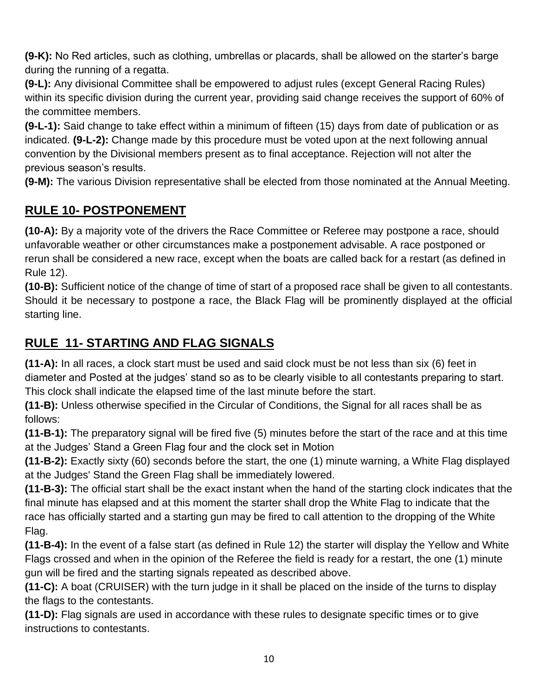**(9-K):** No Red articles, such as clothing, umbrellas or placards, shall be allowed on the starter's barge during the running of a regatta.

**(9-L):** Any divisional Committee shall be empowered to adjust rules (except General Racing Rules) within its specific division during the current year, providing said change receives the support of 60% of the committee members.

**(9-L-1):** Said change to take effect within a minimum of fifteen (15) days from date of publication or as indicated. **(9-L-2):** Change made by this procedure must be voted upon at the next following annual convention by the Divisional members present as to final acceptance. Rejection will not alter the previous season's results.

**(9-M):** The various Division representative shall be elected from those nominated at the Annual Meeting.

## **RULE 10- POSTPONEMENT**

**(10-A):** By a majority vote of the drivers the Race Committee or Referee may postpone a race, should unfavorable weather or other circumstances make a postponement advisable. A race postponed or rerun shall be considered a new race, except when the boats are called back for a restart (as defined in Rule 12).

**(10-B):** Sufficient notice of the change of time of start of a proposed race shall be given to all contestants. Should it be necessary to postpone a race, the Black Flag will be prominently displayed at the official starting line.

## **RULE 11- STARTING AND FLAG SIGNALS**

**(11-A):** In all races, a clock start must be used and said clock must be not less than six (6) feet in diameter and Posted at the judges' stand so as to be clearly visible to all contestants preparing to start. This clock shall indicate the elapsed time of the last minute before the start.

**(11-B):** Unless otherwise specified in the Circular of Conditions, the Signal for all races shall be as follows:

**(11-B-1):** The preparatory signal will be fired five (5) minutes before the start of the race and at this time at the Judges' Stand a Green Flag four and the clock set in Motion

**(11-B-2):** Exactly sixty (60) seconds before the start, the one (1) minute warning, a White Flag displayed at the Judges' Stand the Green Flag shall be immediately lowered.

**(11-B-3):** The official start shall be the exact instant when the hand of the starting clock indicates that the final minute has elapsed and at this moment the starter shall drop the White Flag to indicate that the race has officially started and a starting gun may be fired to call attention to the dropping of the White Flag.

**(11-B-4):** In the event of a false start (as defined in Rule 12) the starter will display the Yellow and White Flags crossed and when in the opinion of the Referee the field is ready for a restart, the one (1) minute gun will be fired and the starting signals repeated as described above.

**(11-C):** A boat (CRUISER) with the turn judge in it shall be placed on the inside of the turns to display the flags to the contestants.

**(11-D):** Flag signals are used in accordance with these rules to designate specific times or to give instructions to contestants.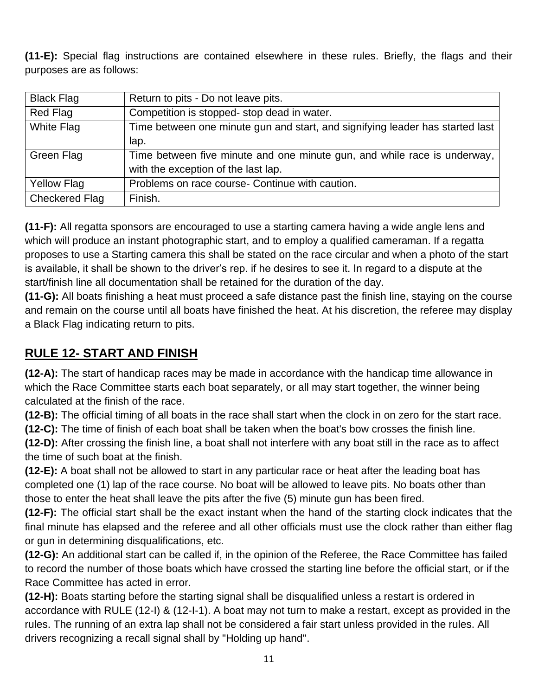**(11-E):** Special flag instructions are contained elsewhere in these rules. Briefly, the flags and their purposes are as follows:

| <b>Black Flag</b>     | Return to pits - Do not leave pits.                                           |
|-----------------------|-------------------------------------------------------------------------------|
| Red Flag              | Competition is stopped- stop dead in water.                                   |
| White Flag            | Time between one minute gun and start, and signifying leader has started last |
|                       | lap.                                                                          |
| Green Flag            | Time between five minute and one minute gun, and while race is underway,      |
|                       | with the exception of the last lap.                                           |
| <b>Yellow Flag</b>    | Problems on race course- Continue with caution.                               |
| <b>Checkered Flag</b> | Finish.                                                                       |

**(11-F):** All regatta sponsors are encouraged to use a starting camera having a wide angle lens and which will produce an instant photographic start, and to employ a qualified cameraman. If a regatta proposes to use a Starting camera this shall be stated on the race circular and when a photo of the start is available, it shall be shown to the driver's rep. if he desires to see it. In regard to a dispute at the start/finish line all documentation shall be retained for the duration of the day.

**(11-G):** All boats finishing a heat must proceed a safe distance past the finish line, staying on the course and remain on the course until all boats have finished the heat. At his discretion, the referee may display a Black Flag indicating return to pits.

#### **RULE 12- START AND FINISH**

**(12-A):** The start of handicap races may be made in accordance with the handicap time allowance in which the Race Committee starts each boat separately, or all may start together, the winner being calculated at the finish of the race.

**(12-B):** The official timing of all boats in the race shall start when the clock in on zero for the start race.

**(12-C):** The time of finish of each boat shall be taken when the boat's bow crosses the finish line.

**(12-D):** After crossing the finish line, a boat shall not interfere with any boat still in the race as to affect the time of such boat at the finish.

**(12-E):** A boat shall not be allowed to start in any particular race or heat after the leading boat has completed one (1) lap of the race course. No boat will be allowed to leave pits. No boats other than those to enter the heat shall leave the pits after the five (5) minute gun has been fired.

**(12-F):** The official start shall be the exact instant when the hand of the starting clock indicates that the final minute has elapsed and the referee and all other officials must use the clock rather than either flag or gun in determining disqualifications, etc.

**(12-G):** An additional start can be called if, in the opinion of the Referee, the Race Committee has failed to record the number of those boats which have crossed the starting line before the official start, or if the Race Committee has acted in error.

**(12-H):** Boats starting before the starting signal shall be disqualified unless a restart is ordered in accordance with RULE (12-I) & (12-I-1). A boat may not turn to make a restart, except as provided in the rules. The running of an extra lap shall not be considered a fair start unless provided in the rules. All drivers recognizing a recall signal shall by "Holding up hand".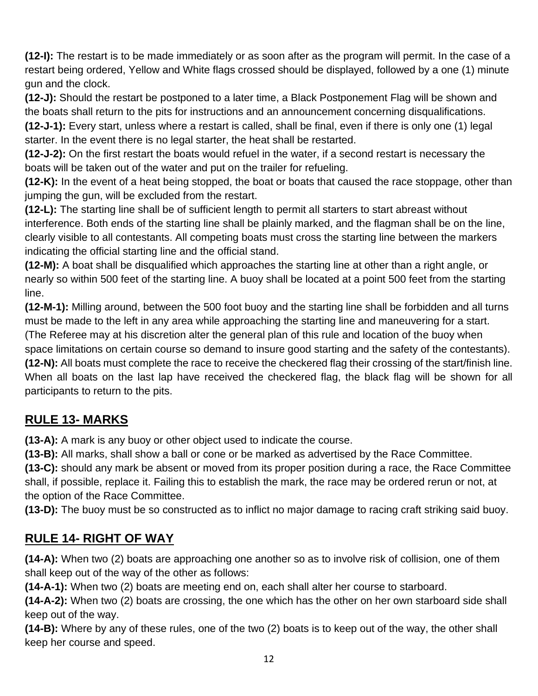**(12-I):** The restart is to be made immediately or as soon after as the program will permit. In the case of a restart being ordered, Yellow and White flags crossed should be displayed, followed by a one (1) minute gun and the clock.

**(12-J):** Should the restart be postponed to a later time, a Black Postponement Flag will be shown and the boats shall return to the pits for instructions and an announcement concerning disqualifications.

**(12-J-1):** Every start, unless where a restart is called, shall be final, even if there is only one (1) legal starter. In the event there is no legal starter, the heat shall be restarted.

**(12-J-2):** On the first restart the boats would refuel in the water, if a second restart is necessary the boats will be taken out of the water and put on the trailer for refueling.

**(12-K):** In the event of a heat being stopped, the boat or boats that caused the race stoppage, other than jumping the gun, will be excluded from the restart.

**(12-L):** The starting line shall be of sufficient length to permit all starters to start abreast without interference. Both ends of the starting line shall be plainly marked, and the flagman shall be on the line, clearly visible to all contestants. All competing boats must cross the starting line between the markers indicating the official starting line and the official stand.

**(12-M):** A boat shall be disqualified which approaches the starting line at other than a right angle, or nearly so within 500 feet of the starting line. A buoy shall be located at a point 500 feet from the starting line.

**(12-M-1):** Milling around, between the 500 foot buoy and the starting line shall be forbidden and all turns must be made to the left in any area while approaching the starting line and maneuvering for a start. (The Referee may at his discretion alter the general plan of this rule and location of the buoy when space limitations on certain course so demand to insure good starting and the safety of the contestants). **(12-N):** All boats must complete the race to receive the checkered flag their crossing of the start/finish line.

When all boats on the last lap have received the checkered flag, the black flag will be shown for all participants to return to the pits.

# **RULE 13- MARKS**

**(13-A):** A mark is any buoy or other object used to indicate the course.

**(13-B):** All marks, shall show a ball or cone or be marked as advertised by the Race Committee.

**(13-C):** should any mark be absent or moved from its proper position during a race, the Race Committee shall, if possible, replace it. Failing this to establish the mark, the race may be ordered rerun or not, at the option of the Race Committee.

**(13-D):** The buoy must be so constructed as to inflict no major damage to racing craft striking said buoy.

# **RULE 14- RIGHT OF WAY**

**(14-A):** When two (2) boats are approaching one another so as to involve risk of collision, one of them shall keep out of the way of the other as follows:

**(14-A-1):** When two (2) boats are meeting end on, each shall alter her course to starboard.

**(14-A-2):** When two (2) boats are crossing, the one which has the other on her own starboard side shall keep out of the way.

**(14-B):** Where by any of these rules, one of the two (2) boats is to keep out of the way, the other shall keep her course and speed.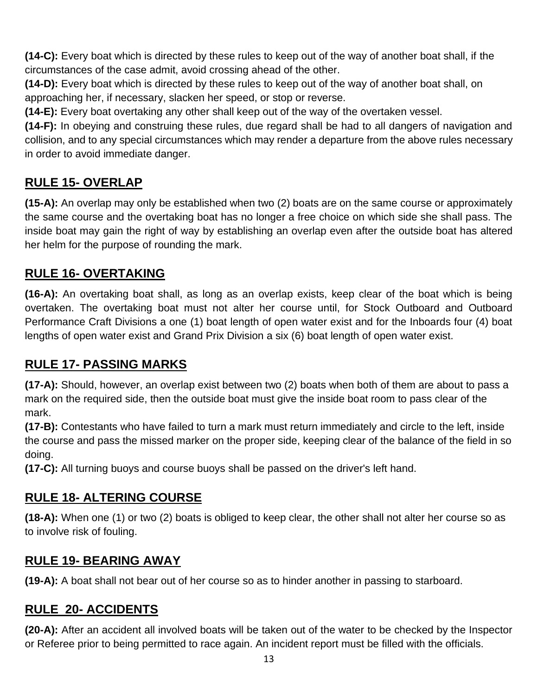**(14-C):** Every boat which is directed by these rules to keep out of the way of another boat shall, if the circumstances of the case admit, avoid crossing ahead of the other.

**(14-D):** Every boat which is directed by these rules to keep out of the way of another boat shall, on approaching her, if necessary, slacken her speed, or stop or reverse.

**(14-E):** Every boat overtaking any other shall keep out of the way of the overtaken vessel.

**(14-F):** In obeying and construing these rules, due regard shall be had to all dangers of navigation and collision, and to any special circumstances which may render a departure from the above rules necessary in order to avoid immediate danger.

## **RULE 15- OVERLAP**

**(15-A):** An overlap may only be established when two (2) boats are on the same course or approximately the same course and the overtaking boat has no longer a free choice on which side she shall pass. The inside boat may gain the right of way by establishing an overlap even after the outside boat has altered her helm for the purpose of rounding the mark.

#### **RULE 16- OVERTAKING**

**(16-A):** An overtaking boat shall, as long as an overlap exists, keep clear of the boat which is being overtaken. The overtaking boat must not alter her course until, for Stock Outboard and Outboard Performance Craft Divisions a one (1) boat length of open water exist and for the Inboards four (4) boat lengths of open water exist and Grand Prix Division a six (6) boat length of open water exist.

#### **RULE 17- PASSING MARKS**

**(17-A):** Should, however, an overlap exist between two (2) boats when both of them are about to pass a mark on the required side, then the outside boat must give the inside boat room to pass clear of the mark.

**(17-B):** Contestants who have failed to turn a mark must return immediately and circle to the left, inside the course and pass the missed marker on the proper side, keeping clear of the balance of the field in so doing.

**(17-C):** All turning buoys and course buoys shall be passed on the driver's left hand.

#### **RULE 18- ALTERING COURSE**

**(18-A):** When one (1) or two (2) boats is obliged to keep clear, the other shall not alter her course so as to involve risk of fouling.

#### **RULE 19- BEARING AWAY**

**(19-A):** A boat shall not bear out of her course so as to hinder another in passing to starboard.

## **RULE 20- ACCIDENTS**

**(20-A):** After an accident all involved boats will be taken out of the water to be checked by the Inspector or Referee prior to being permitted to race again. An incident report must be filled with the officials.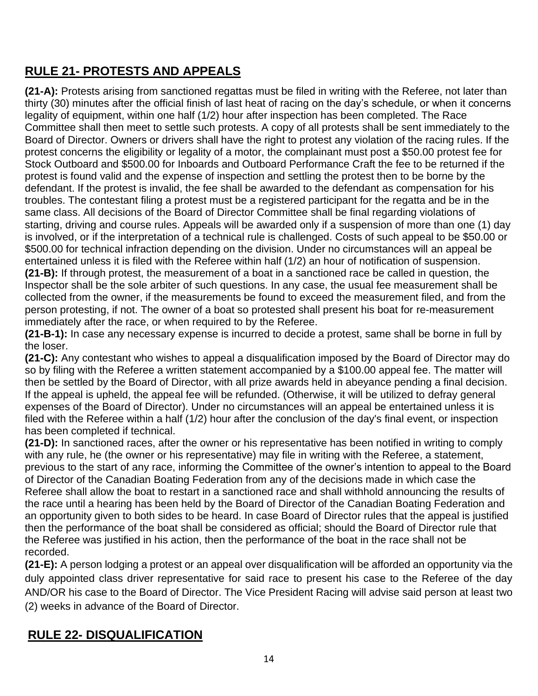# **RULE 21- PROTESTS AND APPEALS**

**(21-A):** Protests arising from sanctioned regattas must be filed in writing with the Referee, not later than thirty (30) minutes after the official finish of last heat of racing on the day's schedule, or when it concerns legality of equipment, within one half (1/2) hour after inspection has been completed. The Race Committee shall then meet to settle such protests. A copy of all protests shall be sent immediately to the Board of Director. Owners or drivers shall have the right to protest any violation of the racing rules. If the protest concerns the eligibility or legality of a motor, the complainant must post a \$50.00 protest fee for Stock Outboard and \$500.00 for Inboards and Outboard Performance Craft the fee to be returned if the protest is found valid and the expense of inspection and settling the protest then to be borne by the defendant. If the protest is invalid, the fee shall be awarded to the defendant as compensation for his troubles. The contestant filing a protest must be a registered participant for the regatta and be in the same class. All decisions of the Board of Director Committee shall be final regarding violations of starting, driving and course rules. Appeals will be awarded only if a suspension of more than one (1) day is involved, or if the interpretation of a technical rule is challenged. Costs of such appeal to be \$50.00 or \$500.00 for technical infraction depending on the division. Under no circumstances will an appeal be entertained unless it is filed with the Referee within half (1/2) an hour of notification of suspension. **(21-B):** If through protest, the measurement of a boat in a sanctioned race be called in question, the Inspector shall be the sole arbiter of such questions. In any case, the usual fee measurement shall be collected from the owner, if the measurements be found to exceed the measurement filed, and from the person protesting, if not. The owner of a boat so protested shall present his boat for re-measurement immediately after the race, or when required to by the Referee.

**(21-B-1):** In case any necessary expense is incurred to decide a protest, same shall be borne in full by the loser.

**(21-C):** Any contestant who wishes to appeal a disqualification imposed by the Board of Director may do so by filing with the Referee a written statement accompanied by a \$100.00 appeal fee. The matter will then be settled by the Board of Director, with all prize awards held in abeyance pending a final decision. If the appeal is upheld, the appeal fee will be refunded. (Otherwise, it will be utilized to defray general expenses of the Board of Director). Under no circumstances will an appeal be entertained unless it is filed with the Referee within a half (1/2) hour after the conclusion of the day's final event, or inspection has been completed if technical.

**(21-D):** In sanctioned races, after the owner or his representative has been notified in writing to comply with any rule, he (the owner or his representative) may file in writing with the Referee, a statement, previous to the start of any race, informing the Committee of the owner's intention to appeal to the Board of Director of the Canadian Boating Federation from any of the decisions made in which case the Referee shall allow the boat to restart in a sanctioned race and shall withhold announcing the results of the race until a hearing has been held by the Board of Director of the Canadian Boating Federation and an opportunity given to both sides to be heard. In case Board of Director rules that the appeal is justified then the performance of the boat shall be considered as official; should the Board of Director rule that the Referee was justified in his action, then the performance of the boat in the race shall not be recorded.

**(21-E):** A person lodging a protest or an appeal over disqualification will be afforded an opportunity via the duly appointed class driver representative for said race to present his case to the Referee of the day AND/OR his case to the Board of Director. The Vice President Racing will advise said person at least two (2) weeks in advance of the Board of Director.

## **RULE 22- DISQUALIFICATION**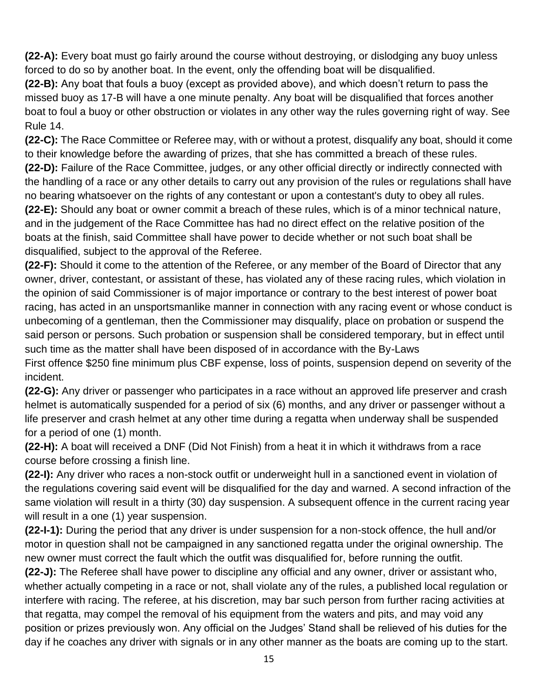**(22-A):** Every boat must go fairly around the course without destroying, or dislodging any buoy unless forced to do so by another boat. In the event, only the offending boat will be disqualified.

**(22-B):** Any boat that fouls a buoy (except as provided above), and which doesn't return to pass the missed buoy as 17-B will have a one minute penalty. Any boat will be disqualified that forces another boat to foul a buoy or other obstruction or violates in any other way the rules governing right of way. See Rule 14.

**(22-C):** The Race Committee or Referee may, with or without a protest, disqualify any boat, should it come to their knowledge before the awarding of prizes, that she has committed a breach of these rules. **(22-D):** Failure of the Race Committee, judges, or any other official directly or indirectly connected with the handling of a race or any other details to carry out any provision of the rules or regulations shall have no bearing whatsoever on the rights of any contestant or upon a contestant's duty to obey all rules. **(22-E):** Should any boat or owner commit a breach of these rules, which is of a minor technical nature, and in the judgement of the Race Committee has had no direct effect on the relative position of the boats at the finish, said Committee shall have power to decide whether or not such boat shall be disqualified, subject to the approval of the Referee.

**(22-F):** Should it come to the attention of the Referee, or any member of the Board of Director that any owner, driver, contestant, or assistant of these, has violated any of these racing rules, which violation in the opinion of said Commissioner is of major importance or contrary to the best interest of power boat racing, has acted in an unsportsmanlike manner in connection with any racing event or whose conduct is unbecoming of a gentleman, then the Commissioner may disqualify, place on probation or suspend the said person or persons. Such probation or suspension shall be considered temporary, but in effect until such time as the matter shall have been disposed of in accordance with the By-Laws

First offence \$250 fine minimum plus CBF expense, loss of points, suspension depend on severity of the incident.

**(22-G):** Any driver or passenger who participates in a race without an approved life preserver and crash helmet is automatically suspended for a period of six (6) months, and any driver or passenger without a life preserver and crash helmet at any other time during a regatta when underway shall be suspended for a period of one (1) month.

**(22-H):** A boat will received a DNF (Did Not Finish) from a heat it in which it withdraws from a race course before crossing a finish line.

**(22-I):** Any driver who races a non-stock outfit or underweight hull in a sanctioned event in violation of the regulations covering said event will be disqualified for the day and warned. A second infraction of the same violation will result in a thirty (30) day suspension. A subsequent offence in the current racing year will result in a one (1) year suspension.

**(22-I-1):** During the period that any driver is under suspension for a non-stock offence, the hull and/or motor in question shall not be campaigned in any sanctioned regatta under the original ownership. The new owner must correct the fault which the outfit was disqualified for, before running the outfit.

**(22-J):** The Referee shall have power to discipline any official and any owner, driver or assistant who, whether actually competing in a race or not, shall violate any of the rules, a published local regulation or interfere with racing. The referee, at his discretion, may bar such person from further racing activities at that regatta, may compel the removal of his equipment from the waters and pits, and may void any position or prizes previously won. Any official on the Judges' Stand shall be relieved of his duties for the day if he coaches any driver with signals or in any other manner as the boats are coming up to the start.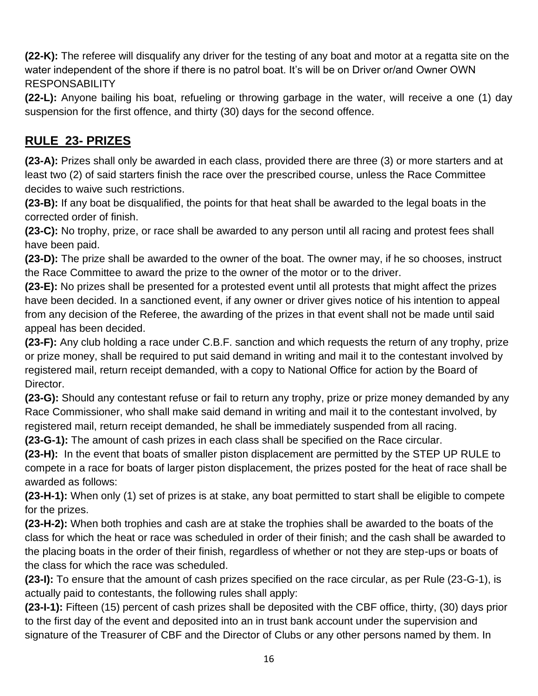**(22-K):** The referee will disqualify any driver for the testing of any boat and motor at a regatta site on the water independent of the shore if there is no patrol boat. It's will be on Driver or/and Owner OWN RESPONSABILITY

**(22-L):** Anyone bailing his boat, refueling or throwing garbage in the water, will receive a one (1) day suspension for the first offence, and thirty (30) days for the second offence.

## **RULE 23- PRIZES**

**(23-A):** Prizes shall only be awarded in each class, provided there are three (3) or more starters and at least two (2) of said starters finish the race over the prescribed course, unless the Race Committee decides to waive such restrictions.

**(23-B):** If any boat be disqualified, the points for that heat shall be awarded to the legal boats in the corrected order of finish.

**(23-C):** No trophy, prize, or race shall be awarded to any person until all racing and protest fees shall have been paid.

**(23-D):** The prize shall be awarded to the owner of the boat. The owner may, if he so chooses, instruct the Race Committee to award the prize to the owner of the motor or to the driver.

**(23-E):** No prizes shall be presented for a protested event until all protests that might affect the prizes have been decided. In a sanctioned event, if any owner or driver gives notice of his intention to appeal from any decision of the Referee, the awarding of the prizes in that event shall not be made until said appeal has been decided.

**(23-F):** Any club holding a race under C.B.F. sanction and which requests the return of any trophy, prize or prize money, shall be required to put said demand in writing and mail it to the contestant involved by registered mail, return receipt demanded, with a copy to National Office for action by the Board of Director.

**(23-G):** Should any contestant refuse or fail to return any trophy, prize or prize money demanded by any Race Commissioner, who shall make said demand in writing and mail it to the contestant involved, by registered mail, return receipt demanded, he shall be immediately suspended from all racing.

**(23-G-1):** The amount of cash prizes in each class shall be specified on the Race circular.

**(23-H):** In the event that boats of smaller piston displacement are permitted by the STEP UP RULE to compete in a race for boats of larger piston displacement, the prizes posted for the heat of race shall be awarded as follows:

**(23-H-1):** When only (1) set of prizes is at stake, any boat permitted to start shall be eligible to compete for the prizes.

**(23-H-2):** When both trophies and cash are at stake the trophies shall be awarded to the boats of the class for which the heat or race was scheduled in order of their finish; and the cash shall be awarded to the placing boats in the order of their finish, regardless of whether or not they are step-ups or boats of the class for which the race was scheduled.

**(23-I):** To ensure that the amount of cash prizes specified on the race circular, as per Rule (23-G-1), is actually paid to contestants, the following rules shall apply:

**(23-I-1):** Fifteen (15) percent of cash prizes shall be deposited with the CBF office, thirty, (30) days prior to the first day of the event and deposited into an in trust bank account under the supervision and signature of the Treasurer of CBF and the Director of Clubs or any other persons named by them. In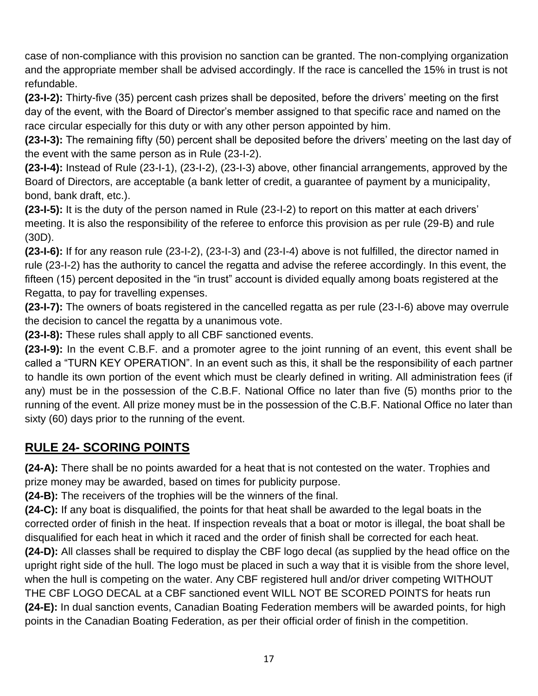case of non-compliance with this provision no sanction can be granted. The non-complying organization and the appropriate member shall be advised accordingly. If the race is cancelled the 15% in trust is not refundable.

**(23-I-2):** Thirty-five (35) percent cash prizes shall be deposited, before the drivers' meeting on the first day of the event, with the Board of Director's member assigned to that specific race and named on the race circular especially for this duty or with any other person appointed by him.

**(23-I-3):** The remaining fifty (50) percent shall be deposited before the drivers' meeting on the last day of the event with the same person as in Rule (23-I-2).

**(23-I-4):** Instead of Rule (23-I-1), (23-I-2), (23-I-3) above, other financial arrangements, approved by the Board of Directors, are acceptable (a bank letter of credit, a guarantee of payment by a municipality, bond, bank draft, etc.).

**(23-I-5):** It is the duty of the person named in Rule (23-I-2) to report on this matter at each drivers' meeting. It is also the responsibility of the referee to enforce this provision as per rule (29-B) and rule (30D).

**(23-I-6):** If for any reason rule (23-I-2), (23-I-3) and (23-I-4) above is not fulfilled, the director named in rule (23-I-2) has the authority to cancel the regatta and advise the referee accordingly. In this event, the fifteen (15) percent deposited in the "in trust" account is divided equally among boats registered at the Regatta, to pay for travelling expenses.

**(23-I-7):** The owners of boats registered in the cancelled regatta as per rule (23-I-6) above may overrule the decision to cancel the regatta by a unanimous vote.

**(23-I-8):** These rules shall apply to all CBF sanctioned events.

**(23-I-9):** In the event C.B.F. and a promoter agree to the joint running of an event, this event shall be called a "TURN KEY OPERATION". In an event such as this, it shall be the responsibility of each partner to handle its own portion of the event which must be clearly defined in writing. All administration fees (if any) must be in the possession of the C.B.F. National Office no later than five (5) months prior to the running of the event. All prize money must be in the possession of the C.B.F. National Office no later than sixty (60) days prior to the running of the event.

## **RULE 24- SCORING POINTS**

**(24-A):** There shall be no points awarded for a heat that is not contested on the water. Trophies and prize money may be awarded, based on times for publicity purpose.

**(24-B):** The receivers of the trophies will be the winners of the final.

**(24-C):** If any boat is disqualified, the points for that heat shall be awarded to the legal boats in the corrected order of finish in the heat. If inspection reveals that a boat or motor is illegal, the boat shall be disqualified for each heat in which it raced and the order of finish shall be corrected for each heat.

**(24-D):** All classes shall be required to display the CBF logo decal (as supplied by the head office on the upright right side of the hull. The logo must be placed in such a way that it is visible from the shore level, when the hull is competing on the water. Any CBF registered hull and/or driver competing WITHOUT THE CBF LOGO DECAL at a CBF sanctioned event WILL NOT BE SCORED POINTS for heats run **(24-E):** In dual sanction events, Canadian Boating Federation members will be awarded points, for high points in the Canadian Boating Federation, as per their official order of finish in the competition.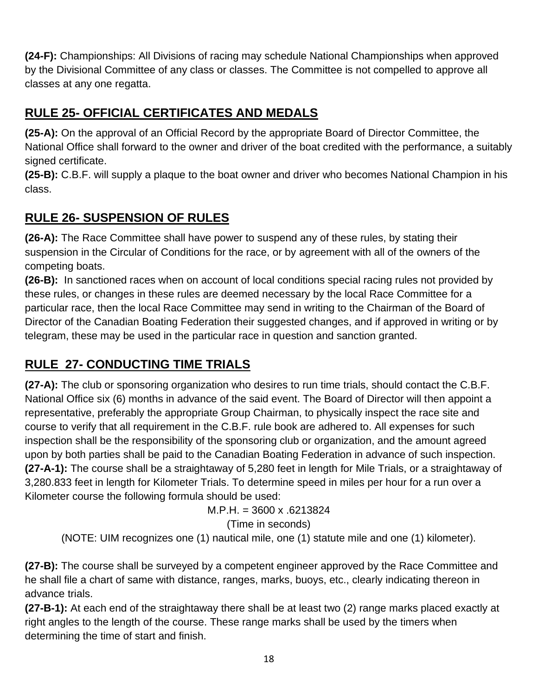**(24-F):** Championships: All Divisions of racing may schedule National Championships when approved by the Divisional Committee of any class or classes. The Committee is not compelled to approve all classes at any one regatta.

## **RULE 25- OFFICIAL CERTIFICATES AND MEDALS**

**(25-A):** On the approval of an Official Record by the appropriate Board of Director Committee, the National Office shall forward to the owner and driver of the boat credited with the performance, a suitably signed certificate.

**(25-B):** C.B.F. will supply a plaque to the boat owner and driver who becomes National Champion in his class.

## **RULE 26- SUSPENSION OF RULES**

**(26-A):** The Race Committee shall have power to suspend any of these rules, by stating their suspension in the Circular of Conditions for the race, or by agreement with all of the owners of the competing boats.

**(26-B):** In sanctioned races when on account of local conditions special racing rules not provided by these rules, or changes in these rules are deemed necessary by the local Race Committee for a particular race, then the local Race Committee may send in writing to the Chairman of the Board of Director of the Canadian Boating Federation their suggested changes, and if approved in writing or by telegram, these may be used in the particular race in question and sanction granted.

# **RULE 27- CONDUCTING TIME TRIALS**

**(27-A):** The club or sponsoring organization who desires to run time trials, should contact the C.B.F. National Office six (6) months in advance of the said event. The Board of Director will then appoint a representative, preferably the appropriate Group Chairman, to physically inspect the race site and course to verify that all requirement in the C.B.F. rule book are adhered to. All expenses for such inspection shall be the responsibility of the sponsoring club or organization, and the amount agreed upon by both parties shall be paid to the Canadian Boating Federation in advance of such inspection. **(27-A-1):** The course shall be a straightaway of 5,280 feet in length for Mile Trials, or a straightaway of 3,280.833 feet in length for Kilometer Trials. To determine speed in miles per hour for a run over a Kilometer course the following formula should be used:

M.P.H. = 3600 x .6213824

(Time in seconds)

(NOTE: UIM recognizes one (1) nautical mile, one (1) statute mile and one (1) kilometer).

**(27-B):** The course shall be surveyed by a competent engineer approved by the Race Committee and he shall file a chart of same with distance, ranges, marks, buoys, etc., clearly indicating thereon in advance trials.

**(27-B-1):** At each end of the straightaway there shall be at least two (2) range marks placed exactly at right angles to the length of the course. These range marks shall be used by the timers when determining the time of start and finish.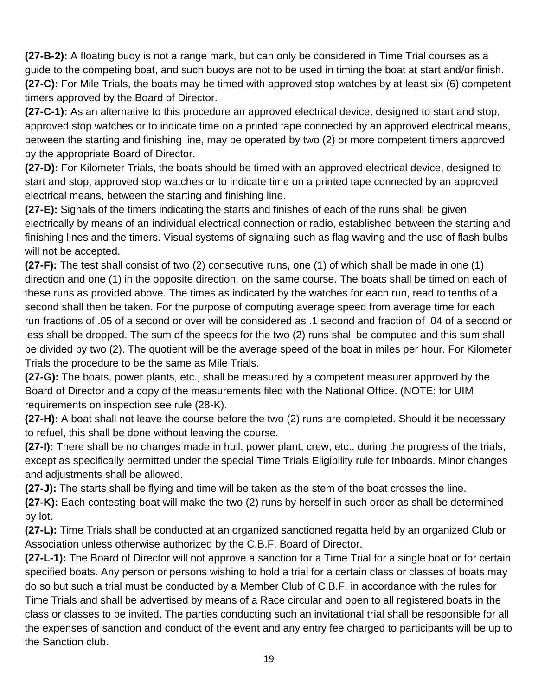**(27-B-2):** A floating buoy is not a range mark, but can only be considered in Time Trial courses as a guide to the competing boat, and such buoys are not to be used in timing the boat at start and/or finish. **(27-C):** For Mile Trials, the boats may be timed with approved stop watches by at least six (6) competent timers approved by the Board of Director.

**(27-C-1):** As an alternative to this procedure an approved electrical device, designed to start and stop, approved stop watches or to indicate time on a printed tape connected by an approved electrical means, between the starting and finishing line, may be operated by two (2) or more competent timers approved by the appropriate Board of Director.

**(27-D):** For Kilometer Trials, the boats should be timed with an approved electrical device, designed to start and stop, approved stop watches or to indicate time on a printed tape connected by an approved electrical means, between the starting and finishing line.

**(27-E):** Signals of the timers indicating the starts and finishes of each of the runs shall be given electrically by means of an individual electrical connection or radio, established between the starting and finishing lines and the timers. Visual systems of signaling such as flag waving and the use of flash bulbs will not be accepted.

**(27-F):** The test shall consist of two (2) consecutive runs, one (1) of which shall be made in one (1) direction and one (1) in the opposite direction, on the same course. The boats shall be timed on each of these runs as provided above. The times as indicated by the watches for each run, read to tenths of a second shall then be taken. For the purpose of computing average speed from average time for each run fractions of .05 of a second or over will be considered as .1 second and fraction of .04 of a second or less shall be dropped. The sum of the speeds for the two (2) runs shall be computed and this sum shall be divided by two (2). The quotient will be the average speed of the boat in miles per hour. For Kilometer Trials the procedure to be the same as Mile Trials.

**(27-G):** The boats, power plants, etc., shall be measured by a competent measurer approved by the Board of Director and a copy of the measurements filed with the National Office. (NOTE: for UIM requirements on inspection see rule (28-K).

**(27-H):** A boat shall not leave the course before the two (2) runs are completed. Should it be necessary to refuel, this shall be done without leaving the course.

**(27-I):** There shall be no changes made in hull, power plant, crew, etc., during the progress of the trials, except as specifically permitted under the special Time Trials Eligibility rule for Inboards. Minor changes and adjustments shall be allowed.

**(27-J):** The starts shall be flying and time will be taken as the stem of the boat crosses the line.

**(27-K):** Each contesting boat will make the two (2) runs by herself in such order as shall be determined by lot.

**(27-L):** Time Trials shall be conducted at an organized sanctioned regatta held by an organized Club or Association unless otherwise authorized by the C.B.F. Board of Director.

**(27-L-1):** The Board of Director will not approve a sanction for a Time Trial for a single boat or for certain specified boats. Any person or persons wishing to hold a trial for a certain class or classes of boats may do so but such a trial must be conducted by a Member Club of C.B.F. in accordance with the rules for Time Trials and shall be advertised by means of a Race circular and open to all registered boats in the class or classes to be invited. The parties conducting such an invitational trial shall be responsible for all the expenses of sanction and conduct of the event and any entry fee charged to participants will be up to the Sanction club.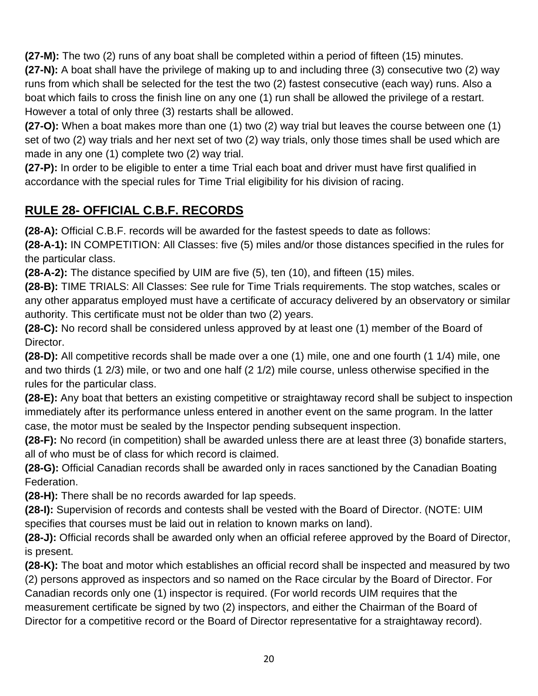**(27-M):** The two (2) runs of any boat shall be completed within a period of fifteen (15) minutes.

**(27-N):** A boat shall have the privilege of making up to and including three (3) consecutive two (2) way runs from which shall be selected for the test the two (2) fastest consecutive (each way) runs. Also a boat which fails to cross the finish line on any one (1) run shall be allowed the privilege of a restart. However a total of only three (3) restarts shall be allowed.

**(27-O):** When a boat makes more than one (1) two (2) way trial but leaves the course between one (1) set of two (2) way trials and her next set of two (2) way trials, only those times shall be used which are made in any one (1) complete two (2) way trial.

**(27-P):** In order to be eligible to enter a time Trial each boat and driver must have first qualified in accordance with the special rules for Time Trial eligibility for his division of racing.

## **RULE 28- OFFICIAL C.B.F. RECORDS**

**(28-A):** Official C.B.F. records will be awarded for the fastest speeds to date as follows:

**(28-A-1):** IN COMPETITION: All Classes: five (5) miles and/or those distances specified in the rules for the particular class.

**(28-A-2):** The distance specified by UIM are five (5), ten (10), and fifteen (15) miles.

**(28-B):** TIME TRIALS: All Classes: See rule for Time Trials requirements. The stop watches, scales or any other apparatus employed must have a certificate of accuracy delivered by an observatory or similar authority. This certificate must not be older than two (2) years.

**(28-C):** No record shall be considered unless approved by at least one (1) member of the Board of Director.

**(28-D):** All competitive records shall be made over a one (1) mile, one and one fourth (1 1/4) mile, one and two thirds (1 2/3) mile, or two and one half (2 1/2) mile course, unless otherwise specified in the rules for the particular class.

**(28-E):** Any boat that betters an existing competitive or straightaway record shall be subject to inspection immediately after its performance unless entered in another event on the same program. In the latter case, the motor must be sealed by the Inspector pending subsequent inspection.

**(28-F):** No record (in competition) shall be awarded unless there are at least three (3) bonafide starters, all of who must be of class for which record is claimed.

**(28-G):** Official Canadian records shall be awarded only in races sanctioned by the Canadian Boating Federation.

**(28-H):** There shall be no records awarded for lap speeds.

**(28-I):** Supervision of records and contests shall be vested with the Board of Director. (NOTE: UIM specifies that courses must be laid out in relation to known marks on land).

**(28-J):** Official records shall be awarded only when an official referee approved by the Board of Director, is present.

**(28-K):** The boat and motor which establishes an official record shall be inspected and measured by two (2) persons approved as inspectors and so named on the Race circular by the Board of Director. For Canadian records only one (1) inspector is required. (For world records UIM requires that the measurement certificate be signed by two (2) inspectors, and either the Chairman of the Board of Director for a competitive record or the Board of Director representative for a straightaway record).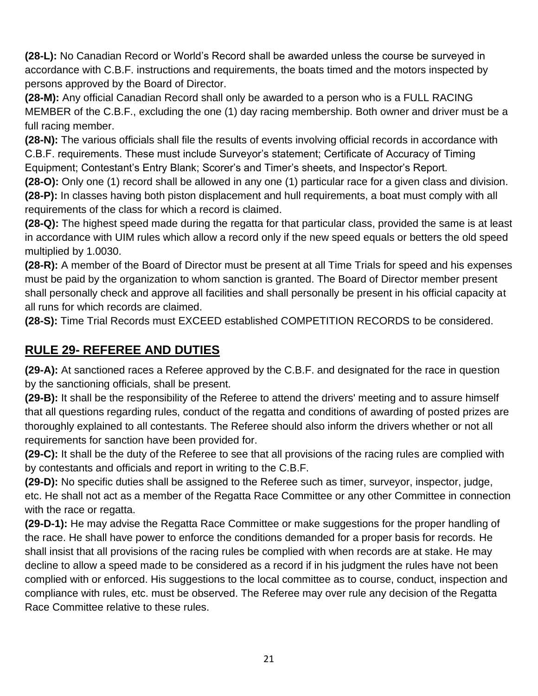**(28-L):** No Canadian Record or World's Record shall be awarded unless the course be surveyed in accordance with C.B.F. instructions and requirements, the boats timed and the motors inspected by persons approved by the Board of Director.

**(28-M):** Any official Canadian Record shall only be awarded to a person who is a FULL RACING MEMBER of the C.B.F., excluding the one (1) day racing membership. Both owner and driver must be a full racing member.

**(28-N):** The various officials shall file the results of events involving official records in accordance with C.B.F. requirements. These must include Surveyor's statement; Certificate of Accuracy of Timing Equipment; Contestant's Entry Blank; Scorer's and Timer's sheets, and Inspector's Report.

**(28-O):** Only one (1) record shall be allowed in any one (1) particular race for a given class and division. **(28-P):** In classes having both piston displacement and hull requirements, a boat must comply with all requirements of the class for which a record is claimed.

**(28-Q):** The highest speed made during the regatta for that particular class, provided the same is at least in accordance with UIM rules which allow a record only if the new speed equals or betters the old speed multiplied by 1.0030.

**(28-R):** A member of the Board of Director must be present at all Time Trials for speed and his expenses must be paid by the organization to whom sanction is granted. The Board of Director member present shall personally check and approve all facilities and shall personally be present in his official capacity at all runs for which records are claimed.

**(28-S):** Time Trial Records must EXCEED established COMPETITION RECORDS to be considered.

# **RULE 29- REFEREE AND DUTIES**

**(29-A):** At sanctioned races a Referee approved by the C.B.F. and designated for the race in question by the sanctioning officials, shall be present.

**(29-B):** It shall be the responsibility of the Referee to attend the drivers' meeting and to assure himself that all questions regarding rules, conduct of the regatta and conditions of awarding of posted prizes are thoroughly explained to all contestants. The Referee should also inform the drivers whether or not all requirements for sanction have been provided for.

**(29-C):** It shall be the duty of the Referee to see that all provisions of the racing rules are complied with by contestants and officials and report in writing to the C.B.F.

**(29-D):** No specific duties shall be assigned to the Referee such as timer, surveyor, inspector, judge, etc. He shall not act as a member of the Regatta Race Committee or any other Committee in connection with the race or regatta.

**(29-D-1):** He may advise the Regatta Race Committee or make suggestions for the proper handling of the race. He shall have power to enforce the conditions demanded for a proper basis for records. He shall insist that all provisions of the racing rules be complied with when records are at stake. He may decline to allow a speed made to be considered as a record if in his judgment the rules have not been complied with or enforced. His suggestions to the local committee as to course, conduct, inspection and compliance with rules, etc. must be observed. The Referee may over rule any decision of the Regatta Race Committee relative to these rules.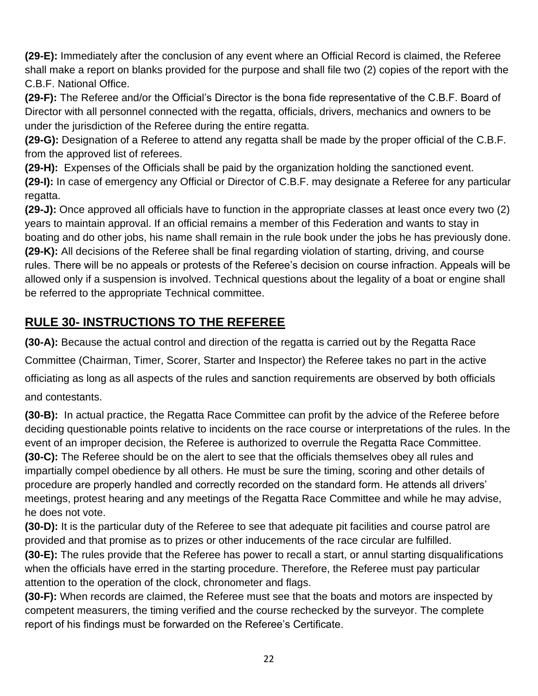**(29-E):** Immediately after the conclusion of any event where an Official Record is claimed, the Referee shall make a report on blanks provided for the purpose and shall file two (2) copies of the report with the C.B.F. National Office.

**(29-F):** The Referee and/or the Official's Director is the bona fide representative of the C.B.F. Board of Director with all personnel connected with the regatta, officials, drivers, mechanics and owners to be under the jurisdiction of the Referee during the entire regatta.

**(29-G):** Designation of a Referee to attend any regatta shall be made by the proper official of the C.B.F. from the approved list of referees.

**(29-H):** Expenses of the Officials shall be paid by the organization holding the sanctioned event. **(29-I):** In case of emergency any Official or Director of C.B.F. may designate a Referee for any particular regatta.

**(29-J):** Once approved all officials have to function in the appropriate classes at least once every two (2) years to maintain approval. If an official remains a member of this Federation and wants to stay in boating and do other jobs, his name shall remain in the rule book under the jobs he has previously done. **(29-K):** All decisions of the Referee shall be final regarding violation of starting, driving, and course rules. There will be no appeals or protests of the Referee's decision on course infraction. Appeals will be allowed only if a suspension is involved. Technical questions about the legality of a boat or engine shall be referred to the appropriate Technical committee.

# **RULE 30- INSTRUCTIONS TO THE REFEREE**

**(30-A):** Because the actual control and direction of the regatta is carried out by the Regatta Race Committee (Chairman, Timer, Scorer, Starter and Inspector) the Referee takes no part in the active officiating as long as all aspects of the rules and sanction requirements are observed by both officials and contestants.

**(30-B):** In actual practice, the Regatta Race Committee can profit by the advice of the Referee before deciding questionable points relative to incidents on the race course or interpretations of the rules. In the event of an improper decision, the Referee is authorized to overrule the Regatta Race Committee. **(30-C):** The Referee should be on the alert to see that the officials themselves obey all rules and impartially compel obedience by all others. He must be sure the timing, scoring and other details of procedure are properly handled and correctly recorded on the standard form. He attends all drivers' meetings, protest hearing and any meetings of the Regatta Race Committee and while he may advise, he does not vote.

**(30-D):** It is the particular duty of the Referee to see that adequate pit facilities and course patrol are provided and that promise as to prizes or other inducements of the race circular are fulfilled.

**(30-E):** The rules provide that the Referee has power to recall a start, or annul starting disqualifications when the officials have erred in the starting procedure. Therefore, the Referee must pay particular attention to the operation of the clock, chronometer and flags.

**(30-F):** When records are claimed, the Referee must see that the boats and motors are inspected by competent measurers, the timing verified and the course rechecked by the surveyor. The complete report of his findings must be forwarded on the Referee's Certificate.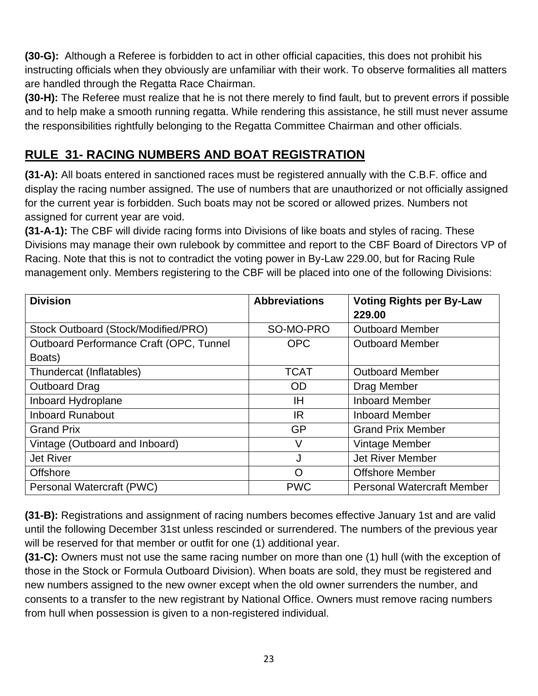**(30-G):** Although a Referee is forbidden to act in other official capacities, this does not prohibit his instructing officials when they obviously are unfamiliar with their work. To observe formalities all matters are handled through the Regatta Race Chairman.

**(30-H):** The Referee must realize that he is not there merely to find fault, but to prevent errors if possible and to help make a smooth running regatta. While rendering this assistance, he still must never assume the responsibilities rightfully belonging to the Regatta Committee Chairman and other officials.

## **RULE 31- RACING NUMBERS AND BOAT REGISTRATION**

**(31-A):** All boats entered in sanctioned races must be registered annually with the C.B.F. office and display the racing number assigned. The use of numbers that are unauthorized or not officially assigned for the current year is forbidden. Such boats may not be scored or allowed prizes. Numbers not assigned for current year are void.

**(31-A-1):** The CBF will divide racing forms into Divisions of like boats and styles of racing. These Divisions may manage their own rulebook by committee and report to the CBF Board of Directors VP of Racing. Note that this is not to contradict the voting power in By-Law 229.00, but for Racing Rule management only. Members registering to the CBF will be placed into one of the following Divisions:

| <b>Division</b>                         | <b>Abbreviations</b> | <b>Voting Rights per By-Law</b><br>229.00 |
|-----------------------------------------|----------------------|-------------------------------------------|
| Stock Outboard (Stock/Modified/PRO)     | SO-MO-PRO            | <b>Outboard Member</b>                    |
| Outboard Performance Craft (OPC, Tunnel | <b>OPC</b>           | <b>Outboard Member</b>                    |
| Boats)                                  |                      |                                           |
| Thundercat (Inflatables)                | <b>TCAT</b>          | <b>Outboard Member</b>                    |
| <b>Outboard Drag</b>                    | <b>OD</b>            | Drag Member                               |
| Inboard Hydroplane                      | ΙH                   | <b>Inboard Member</b>                     |
| <b>Inboard Runabout</b>                 | IR                   | <b>Inboard Member</b>                     |
| <b>Grand Prix</b>                       | <b>GP</b>            | <b>Grand Prix Member</b>                  |
| Vintage (Outboard and Inboard)          | V                    | Vintage Member                            |
| <b>Jet River</b>                        | J                    | <b>Jet River Member</b>                   |
| Offshore                                | O                    | <b>Offshore Member</b>                    |
| Personal Watercraft (PWC)               | <b>PWC</b>           | <b>Personal Watercraft Member</b>         |

**(31-B):** Registrations and assignment of racing numbers becomes effective January 1st and are valid until the following December 31st unless rescinded or surrendered. The numbers of the previous year will be reserved for that member or outfit for one (1) additional year.

**(31-C):** Owners must not use the same racing number on more than one (1) hull (with the exception of those in the Stock or Formula Outboard Division). When boats are sold, they must be registered and new numbers assigned to the new owner except when the old owner surrenders the number, and consents to a transfer to the new registrant by National Office. Owners must remove racing numbers from hull when possession is given to a non-registered individual.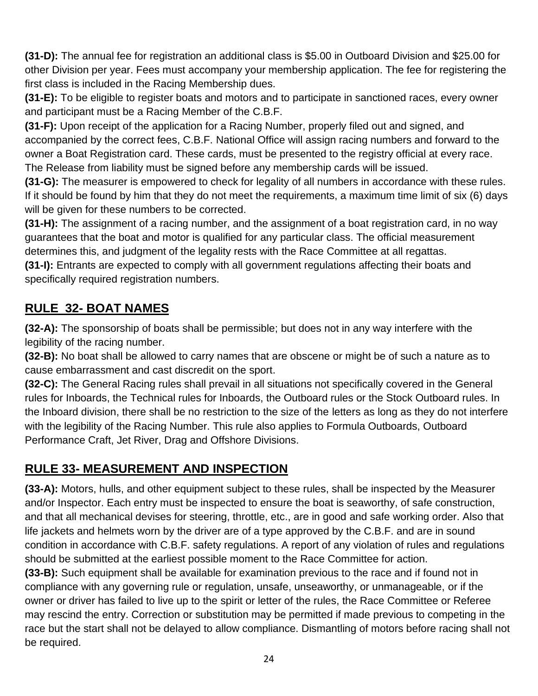**(31-D):** The annual fee for registration an additional class is \$5.00 in Outboard Division and \$25.00 for other Division per year. Fees must accompany your membership application. The fee for registering the first class is included in the Racing Membership dues.

**(31-E):** To be eligible to register boats and motors and to participate in sanctioned races, every owner and participant must be a Racing Member of the C.B.F.

**(31-F):** Upon receipt of the application for a Racing Number, properly filed out and signed, and accompanied by the correct fees, C.B.F. National Office will assign racing numbers and forward to the owner a Boat Registration card. These cards, must be presented to the registry official at every race. The Release from liability must be signed before any membership cards will be issued.

**(31-G):** The measurer is empowered to check for legality of all numbers in accordance with these rules. If it should be found by him that they do not meet the requirements, a maximum time limit of six (6) days will be given for these numbers to be corrected.

**(31-H):** The assignment of a racing number, and the assignment of a boat registration card, in no way guarantees that the boat and motor is qualified for any particular class. The official measurement determines this, and judgment of the legality rests with the Race Committee at all regattas.

**(31-I):** Entrants are expected to comply with all government regulations affecting their boats and specifically required registration numbers.

# **RULE 32- BOAT NAMES**

**(32-A):** The sponsorship of boats shall be permissible; but does not in any way interfere with the legibility of the racing number.

**(32-B):** No boat shall be allowed to carry names that are obscene or might be of such a nature as to cause embarrassment and cast discredit on the sport.

**(32-C):** The General Racing rules shall prevail in all situations not specifically covered in the General rules for Inboards, the Technical rules for Inboards, the Outboard rules or the Stock Outboard rules. In the Inboard division, there shall be no restriction to the size of the letters as long as they do not interfere with the legibility of the Racing Number. This rule also applies to Formula Outboards, Outboard Performance Craft, Jet River, Drag and Offshore Divisions.

# **RULE 33- MEASUREMENT AND INSPECTION**

**(33-A):** Motors, hulls, and other equipment subject to these rules, shall be inspected by the Measurer and/or Inspector. Each entry must be inspected to ensure the boat is seaworthy, of safe construction, and that all mechanical devises for steering, throttle, etc., are in good and safe working order. Also that life jackets and helmets worn by the driver are of a type approved by the C.B.F. and are in sound condition in accordance with C.B.F. safety regulations. A report of any violation of rules and regulations should be submitted at the earliest possible moment to the Race Committee for action.

**(33-B):** Such equipment shall be available for examination previous to the race and if found not in compliance with any governing rule or regulation, unsafe, unseaworthy, or unmanageable, or if the owner or driver has failed to live up to the spirit or letter of the rules, the Race Committee or Referee may rescind the entry. Correction or substitution may be permitted if made previous to competing in the race but the start shall not be delayed to allow compliance. Dismantling of motors before racing shall not be required.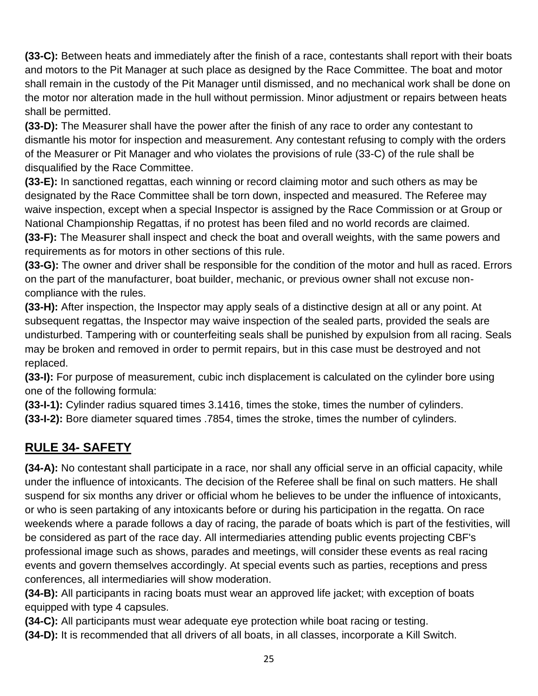**(33-C):** Between heats and immediately after the finish of a race, contestants shall report with their boats and motors to the Pit Manager at such place as designed by the Race Committee. The boat and motor shall remain in the custody of the Pit Manager until dismissed, and no mechanical work shall be done on the motor nor alteration made in the hull without permission. Minor adjustment or repairs between heats shall be permitted.

**(33-D):** The Measurer shall have the power after the finish of any race to order any contestant to dismantle his motor for inspection and measurement. Any contestant refusing to comply with the orders of the Measurer or Pit Manager and who violates the provisions of rule (33-C) of the rule shall be disqualified by the Race Committee.

**(33-E):** In sanctioned regattas, each winning or record claiming motor and such others as may be designated by the Race Committee shall be torn down, inspected and measured. The Referee may waive inspection, except when a special Inspector is assigned by the Race Commission or at Group or National Championship Regattas, if no protest has been filed and no world records are claimed. **(33-F):** The Measurer shall inspect and check the boat and overall weights, with the same powers and

requirements as for motors in other sections of this rule.

**(33-G):** The owner and driver shall be responsible for the condition of the motor and hull as raced. Errors on the part of the manufacturer, boat builder, mechanic, or previous owner shall not excuse noncompliance with the rules.

**(33-H):** After inspection, the Inspector may apply seals of a distinctive design at all or any point. At subsequent regattas, the Inspector may waive inspection of the sealed parts, provided the seals are undisturbed. Tampering with or counterfeiting seals shall be punished by expulsion from all racing. Seals may be broken and removed in order to permit repairs, but in this case must be destroyed and not replaced.

**(33-I):** For purpose of measurement, cubic inch displacement is calculated on the cylinder bore using one of the following formula:

**(33-I-1):** Cylinder radius squared times 3.1416, times the stoke, times the number of cylinders. **(33-I-2):** Bore diameter squared times .7854, times the stroke, times the number of cylinders.

# **RULE 34- SAFETY**

**(34-A):** No contestant shall participate in a race, nor shall any official serve in an official capacity, while under the influence of intoxicants. The decision of the Referee shall be final on such matters. He shall suspend for six months any driver or official whom he believes to be under the influence of intoxicants, or who is seen partaking of any intoxicants before or during his participation in the regatta. On race weekends where a parade follows a day of racing, the parade of boats which is part of the festivities, will be considered as part of the race day. All intermediaries attending public events projecting CBF's professional image such as shows, parades and meetings, will consider these events as real racing events and govern themselves accordingly. At special events such as parties, receptions and press conferences, all intermediaries will show moderation.

**(34-B):** All participants in racing boats must wear an approved life jacket; with exception of boats equipped with type 4 capsules.

**(34-C):** All participants must wear adequate eye protection while boat racing or testing.

**(34-D):** It is recommended that all drivers of all boats, in all classes, incorporate a Kill Switch.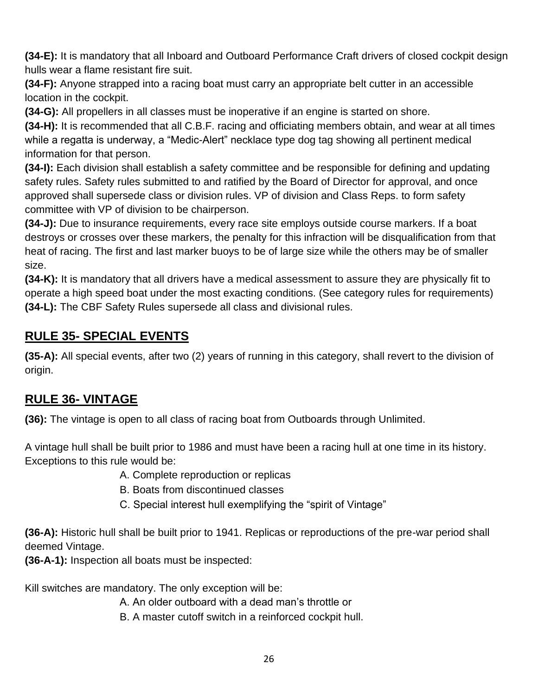**(34-E):** It is mandatory that all Inboard and Outboard Performance Craft drivers of closed cockpit design hulls wear a flame resistant fire suit.

**(34-F):** Anyone strapped into a racing boat must carry an appropriate belt cutter in an accessible location in the cockpit.

**(34-G):** All propellers in all classes must be inoperative if an engine is started on shore.

**(34-H):** It is recommended that all C.B.F. racing and officiating members obtain, and wear at all times while a regatta is underway, a "Medic-Alert" necklace type dog tag showing all pertinent medical information for that person.

**(34-I):** Each division shall establish a safety committee and be responsible for defining and updating safety rules. Safety rules submitted to and ratified by the Board of Director for approval, and once approved shall supersede class or division rules. VP of division and Class Reps. to form safety committee with VP of division to be chairperson.

**(34-J):** Due to insurance requirements, every race site employs outside course markers. If a boat destroys or crosses over these markers, the penalty for this infraction will be disqualification from that heat of racing. The first and last marker buoys to be of large size while the others may be of smaller size.

**(34-K):** It is mandatory that all drivers have a medical assessment to assure they are physically fit to operate a high speed boat under the most exacting conditions. (See category rules for requirements) **(34-L):** The CBF Safety Rules supersede all class and divisional rules.

## **RULE 35- SPECIAL EVENTS**

**(35-A):** All special events, after two (2) years of running in this category, shall revert to the division of origin.

#### **RULE 36- VINTAGE**

**(36):** The vintage is open to all class of racing boat from Outboards through Unlimited.

A vintage hull shall be built prior to 1986 and must have been a racing hull at one time in its history. Exceptions to this rule would be:

A. Complete reproduction or replicas

- B. Boats from discontinued classes
- C. Special interest hull exemplifying the "spirit of Vintage"

**(36-A):** Historic hull shall be built prior to 1941. Replicas or reproductions of the pre-war period shall deemed Vintage.

**(36-A-1):** Inspection all boats must be inspected:

Kill switches are mandatory. The only exception will be:

A. An older outboard with a dead man's throttle or

B. A master cutoff switch in a reinforced cockpit hull.